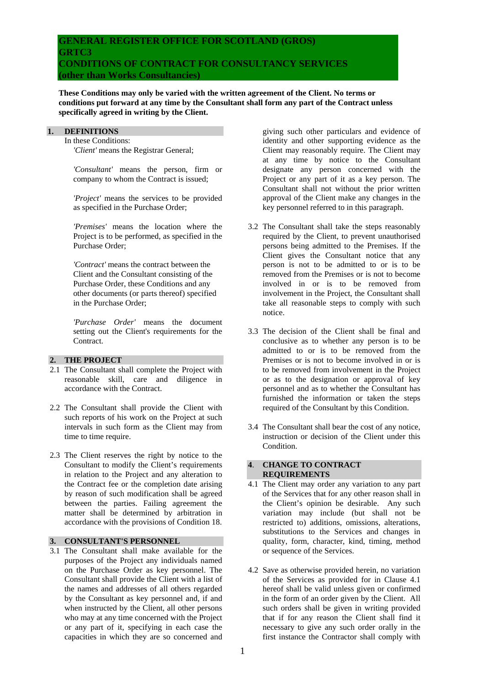# **GENERAL REGISTER OFFICE FOR SCOTLAND (GROS) GRTC3 CONDITIONS OF CONTRACT FOR CONSULTANCY SERVICES (other than Works Consultancies)**

**These Conditions may only be varied with the written agreement of the Client. No terms or conditions put forward at any time by the Consultant shall form any part of the Contract unless specifically agreed in writing by the Client.** 

## **1. DEFINITIONS**

 In these Conditions:  *'Client'* means the Registrar General;

 *'Consultant'* means the person, firm or company to whom the Contract is issued;

 *'Project'* means the services to be provided as specified in the Purchase Order;

 *'Premises'* means the location where the Project is to be performed, as specified in the Purchase Order;

 *'Contract'* means the contract between the Client and the Consultant consisting of the Purchase Order, these Conditions and any other documents (or parts thereof) specified in the Purchase Order;

 *'Purchase Order'* means the document setting out the Client's requirements for the Contract.

#### **2. THE PROJECT**

- 2.1 The Consultant shall complete the Project with reasonable skill, care and diligence in accordance with the Contract.
- 2.2 The Consultant shall provide the Client with such reports of his work on the Project at such intervals in such form as the Client may from time to time require.
- 2.3 The Client reserves the right by notice to the Consultant to modify the Client's requirements in relation to the Project and any alteration to the Contract fee or the completion date arising by reason of such modification shall be agreed between the parties. Failing agreement the matter shall be determined by arbitration in accordance with the provisions of Condition 18.

# **3. CONSULTANT'S PERSONNEL**

3.1 The Consultant shall make available for the purposes of the Project any individuals named on the Purchase Order as key personnel. The Consultant shall provide the Client with a list of the names and addresses of all others regarded by the Consultant as key personnel and, if and when instructed by the Client, all other persons who may at any time concerned with the Project or any part of it, specifying in each case the capacities in which they are so concerned and giving such other particulars and evidence of identity and other supporting evidence as the Client may reasonably require. The Client may at any time by notice to the Consultant designate any person concerned with the Project or any part of it as a key person. The Consultant shall not without the prior written approval of the Client make any changes in the key personnel referred to in this paragraph.

- 3.2 The Consultant shall take the steps reasonably required by the Client, to prevent unauthorised persons being admitted to the Premises. If the Client gives the Consultant notice that any person is not to be admitted to or is to be removed from the Premises or is not to become involved in or is to be removed from involvement in the Project, the Consultant shall take all reasonable steps to comply with such notice.
- 3.3 The decision of the Client shall be final and conclusive as to whether any person is to be admitted to or is to be removed from the Premises or is not to become involved in or is to be removed from involvement in the Project or as to the designation or approval of key personnel and as to whether the Consultant has furnished the information or taken the steps required of the Consultant by this Condition.
- 3.4 The Consultant shall bear the cost of any notice, instruction or decision of the Client under this Condition.

#### **4**. **CHANGE TO CONTRACT REQUIREMENTS**

- 4.1 The Client may order any variation to any part of the Services that for any other reason shall in the Client's opinion be desirable. Any such variation may include (but shall not be restricted to) additions, omissions, alterations, substitutions to the Services and changes in quality, form, character, kind, timing, method or sequence of the Services.
- 4.2 Save as otherwise provided herein, no variation of the Services as provided for in Clause 4.1 hereof shall be valid unless given or confirmed in the form of an order given by the Client. All such orders shall be given in writing provided that if for any reason the Client shall find it necessary to give any such order orally in the first instance the Contractor shall comply with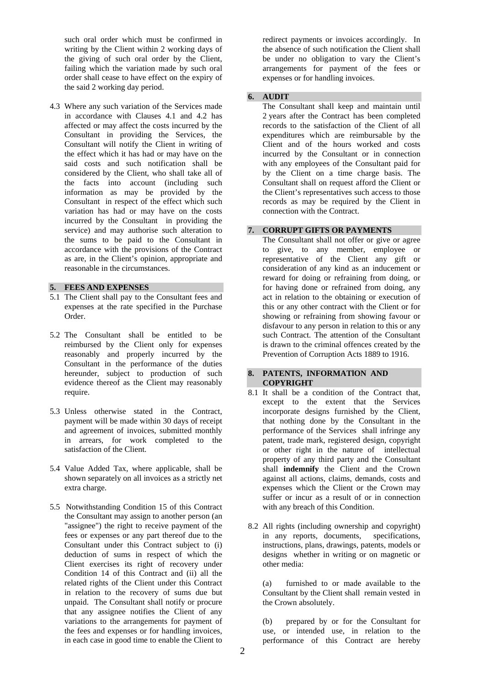such oral order which must be confirmed in writing by the Client within 2 working days of the giving of such oral order by the Client, failing which the variation made by such oral order shall cease to have effect on the expiry of the said 2 working day period.

4.3 Where any such variation of the Services made in accordance with Clauses 4.1 and 4.2 has affected or may affect the costs incurred by the Consultant in providing the Services, the Consultant will notify the Client in writing of the effect which it has had or may have on the said costs and such notification shall be considered by the Client, who shall take all of the facts into account (including such information as may be provided by the Consultant in respect of the effect which such variation has had or may have on the costs incurred by the Consultant in providing the service) and may authorise such alteration to the sums to be paid to the Consultant in accordance with the provisions of the Contract as are, in the Client's opinion, appropriate and reasonable in the circumstances.

#### **5. FEES AND EXPENSES**

- 5.1 The Client shall pay to the Consultant fees and expenses at the rate specified in the Purchase Order.
- 5.2 The Consultant shall be entitled to be reimbursed by the Client only for expenses reasonably and properly incurred by the Consultant in the performance of the duties hereunder, subject to production of such evidence thereof as the Client may reasonably require.
- 5.3 Unless otherwise stated in the Contract, payment will be made within 30 days of receipt and agreement of invoices, submitted monthly in arrears, for work completed to the satisfaction of the Client.
- 5.4 Value Added Tax, where applicable, shall be shown separately on all invoices as a strictly net extra charge.
- 5.5 Notwithstanding Condition 15 of this Contract the Consultant may assign to another person (an "assignee") the right to receive payment of the fees or expenses or any part thereof due to the Consultant under this Contract subject to (i) deduction of sums in respect of which the Client exercises its right of recovery under Condition 14 of this Contract and (ii) all the related rights of the Client under this Contract in relation to the recovery of sums due but unpaid. The Consultant shall notify or procure that any assignee notifies the Client of any variations to the arrangements for payment of the fees and expenses or for handling invoices, in each case in good time to enable the Client to

redirect payments or invoices accordingly. In the absence of such notification the Client shall be under no obligation to vary the Client's arrangements for payment of the fees or expenses or for handling invoices.

## **6. AUDIT**

 The Consultant shall keep and maintain until 2 years after the Contract has been completed records to the satisfaction of the Client of all expenditures which are reimbursable by the Client and of the hours worked and costs incurred by the Consultant or in connection with any employees of the Consultant paid for by the Client on a time charge basis. The Consultant shall on request afford the Client or the Client's representatives such access to those records as may be required by the Client in connection with the Contract.

## **7. CORRUPT GIFTS OR PAYMENTS**

 The Consultant shall not offer or give or agree to give, to any member, employee or representative of the Client any gift or consideration of any kind as an inducement or reward for doing or refraining from doing, or for having done or refrained from doing, any act in relation to the obtaining or execution of this or any other contract with the Client or for showing or refraining from showing favour or disfavour to any person in relation to this or any such Contract. The attention of the Consultant is drawn to the criminal offences created by the Prevention of Corruption Acts 1889 to 1916.

#### **8. PATENTS, INFORMATlON AND COPYRIGHT**

- 8.1 It shall be a condition of the Contract that, except to the extent that the Services incorporate designs furnished by the Client, that nothing done by the Consultant in the performance of the Services shall infringe any patent, trade mark, registered design, copyright or other right in the nature of intellectual property of any third party and the Consultant shall **indemnify** the Client and the Crown against all actions, claims, demands, costs and expenses which the Client or the Crown may suffer or incur as a result of or in connection with any breach of this Condition.
- 8.2 All rights (including ownership and copyright) in any reports, documents, specifications, instructions, plans, drawings, patents, models or designs whether in writing or on magnetic or other media:

 (a) furnished to or made available to the Consultant by the Client shall remain vested in the Crown absolutely.

 (b) prepared by or for the Consultant for use, or intended use, in relation to the performance of this Contract are hereby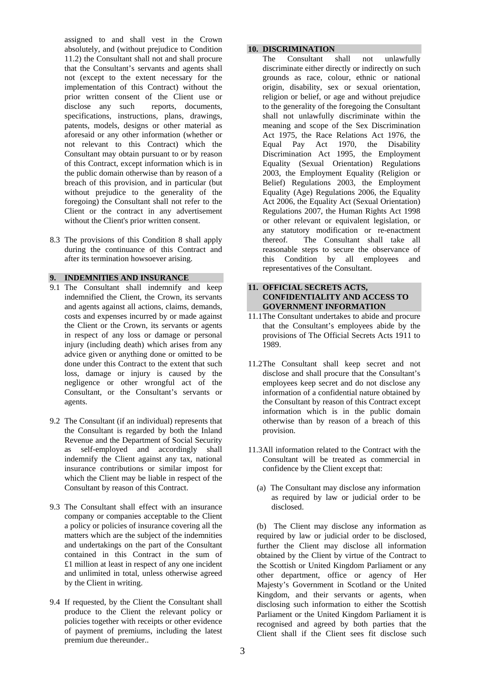assigned to and shall vest in the Crown absolutely, and (without prejudice to Condition 11.2) the Consultant shall not and shall procure that the Consultant's servants and agents shall not (except to the extent necessary for the implementation of this Contract) without the prior written consent of the Client use or disclose any such reports, documents, specifications, instructions, plans, drawings, patents, models, designs or other material as aforesaid or any other information (whether or not relevant to this Contract) which the Consultant may obtain pursuant to or by reason of this Contract, except information which is in the public domain otherwise than by reason of a breach of this provision, and in particular (but without prejudice to the generality of the foregoing) the Consultant shall not refer to the Client or the contract in any advertisement without the Client's prior written consent.

8.3 The provisions of this Condition 8 shall apply during the continuance of this Contract and after its termination howsoever arising.

#### **9. INDEMNlTlES AND INSURANCE**

- 9.1 The Consultant shall indemnify and keep indemnified the Client, the Crown, its servants and agents against all actions, claims, demands, costs and expenses incurred by or made against the Client or the Crown, its servants or agents in respect of any loss or damage or personal injury (including death) which arises from any advice given or anything done or omitted to be done under this Contract to the extent that such loss, damage or injury is caused by the negligence or other wrongful act of the Consultant, or the Consultant's servants or agents.
- 9.2 The Consultant (if an individual) represents that the Consultant is regarded by both the Inland Revenue and the Department of Social Security as self-employed and accordingly shall indemnify the Client against any tax, national insurance contributions or similar impost for which the Client may be liable in respect of the Consultant by reason of this Contract.
- 9.3 The Consultant shall effect with an insurance company or companies acceptable to the Client a policy or policies of insurance covering all the matters which are the subject of the indemnities and undertakings on the part of the Consultant contained in this Contract in the sum of £1 million at least in respect of any one incident and unlimited in total, unless otherwise agreed by the Client in writing.
- 9.4 If requested, by the Client the Consultant shall produce to the Client the relevant policy or policies together with receipts or other evidence of payment of premiums, including the latest premium due thereunder..

## **10. DISCRIMINATION**

 The Consultant shall not unlawfully discriminate either directly or indirectly on such grounds as race, colour, ethnic or national origin, disability, sex or sexual orientation, religion or belief, or age and without prejudice to the generality of the foregoing the Consultant shall not unlawfully discriminate within the meaning and scope of the Sex Discrimination Act 1975, the Race Relations Act 1976, the Equal Pay Act 1970, the Disability Discrimination Act 1995, the Employment Equality (Sexual Orientation) Regulations 2003, the Employment Equality (Religion or Belief) Regulations 2003, the Employment Equality (Age) Regulations 2006, the Equality Act 2006, the Equality Act (Sexual Orientation) Regulations 2007, the Human Rights Act 1998 or other relevant or equivalent legislation, or any statutory modification or re-enactment thereof. The Consultant shall take all reasonable steps to secure the observance of this Condition by all employees and representatives of the Consultant.

## **11. OFFICIAL SECRETS ACTS, CONFIDENTIALITY AND ACCESS TO GOVERNMENT INFORMATION**

- 11.1 The Consultant undertakes to abide and procure that the Consultant's employees abide by the provisions of The Official Secrets Acts 1911 to 1989.
- 11.2 The Consultant shall keep secret and not disclose and shall procure that the Consultant's employees keep secret and do not disclose any information of a confidential nature obtained by the Consultant by reason of this Contract except information which is in the public domain otherwise than by reason of a breach of this provision.
- 11.3 All information related to the Contract with the Consultant will be treated as commercial in confidence by the Client except that:
	- (a) The Consultant may disclose any information as required by law or judicial order to be disclosed.

(b) The Client may disclose any information as required by law or judicial order to be disclosed, further the Client may disclose all information obtained by the Client by virtue of the Contract to the Scottish or United Kingdom Parliament or any other department, office or agency of Her Majesty's Government in Scotland or the United Kingdom, and their servants or agents, when disclosing such information to either the Scottish Parliament or the United Kingdom Parliament it is recognised and agreed by both parties that the Client shall if the Client sees fit disclose such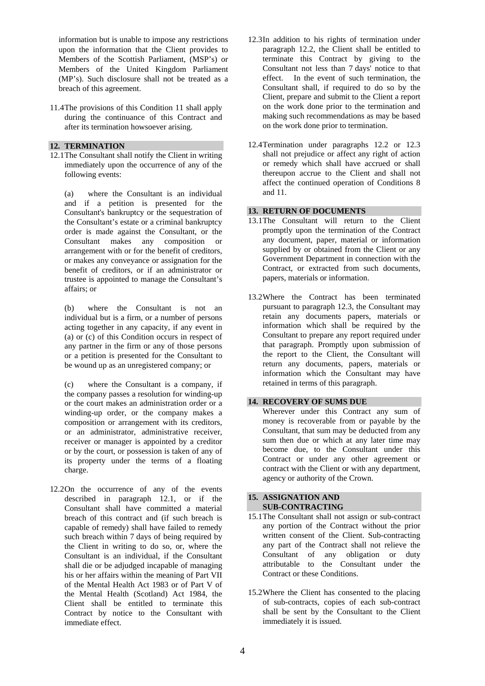information but is unable to impose any restrictions upon the information that the Client provides to Members of the Scottish Parliament, (MSP's) or Members of the United Kingdom Parliament (MP's). Such disclosure shall not be treated as a breach of this agreement.

11.4 The provisions of this Condition 11 shall apply during the continuance of this Contract and after its termination howsoever arising.

#### **12. TERMINATION**

12.1 The Consultant shall notify the Client in writing immediately upon the occurrence of any of the following events:

 (a) where the Consultant is an individual and if a petition is presented for the Consultant's bankruptcy or the sequestration of the Consultant's estate or a criminal bankruptcy order is made against the Consultant, or the Consultant makes any composition or arrangement with or for the benefit of creditors, or makes any conveyance or assignation for the benefit of creditors, or if an administrator or trustee is appointed to manage the Consultant's affairs; or

 (b) where the Consultant is not an individual but is a firm, or a number of persons acting together in any capacity, if any event in (a) or (c) of this Condition occurs in respect of any partner in the firm or any of those persons or a petition is presented for the Consultant to be wound up as an unregistered company; or

 (c) where the Consultant is a company, if the company passes a resolution for winding-up or the court makes an administration order or a winding-up order, or the company makes a composition or arrangement with its creditors, or an administrator, administrative receiver, receiver or manager is appointed by a creditor or by the court, or possession is taken of any of its property under the terms of a floating charge.

12.2 On the occurrence of any of the events described in paragraph 12.1, or if the Consultant shall have committed a material breach of this contract and (if such breach is capable of remedy) shall have failed to remedy such breach within 7 days of being required by the Client in writing to do so, or, where the Consultant is an individual, if the Consultant shall die or be adjudged incapable of managing his or her affairs within the meaning of Part VII of the Mental Health Act 1983 or of Part V of the Mental Health (Scotland) Act 1984, the Client shall be entitled to terminate this Contract by notice to the Consultant with immediate effect.

- 12.3 In addition to his rights of termination under paragraph 12.2, the Client shall be entitled to terminate this Contract by giving to the Consultant not less than 7 days' notice to that effect. In the event of such termination, the Consultant shall, if required to do so by the Client, prepare and submit to the Client a report on the work done prior to the termination and making such recommendations as may be based on the work done prior to termination.
- 12.4 Termination under paragraphs 12.2 or 12.3 shall not prejudice or affect any right of action or remedy which shall have accrued or shall thereupon accrue to the Client and shall not affect the continued operation of Conditions 8 and 11.

## **13. RETURN OF DOCUMENTS**

- 13.1 The Consultant will return to the Client promptly upon the termination of the Contract any document, paper, material or information supplied by or obtained from the Client or any Government Department in connection with the Contract, or extracted from such documents, papers, materials or information.
- 13.2 Where the Contract has been terminated pursuant to paragraph 12.3, the Consultant may retain any documents papers, materials or information which shall be required by the Consultant to prepare any report required under that paragraph. Promptly upon submission of the report to the Client, the Consultant will return any documents, papers, materials or information which the Consultant may have retained in terms of this paragraph.

#### **14. RECOVERY OF SUMS DUE**

 Wherever under this Contract any sum of money is recoverable from or payable by the Consultant, that sum may be deducted from any sum then due or which at any later time may become due, to the Consultant under this Contract or under any other agreement or contract with the Client or with any department, agency or authority of the Crown.

#### **15. ASSIGNATION AND SUB-CONTRACTING**

- 15.1 The Consultant shall not assign or sub-contract any portion of the Contract without the prior written consent of the Client. Sub-contracting any part of the Contract shall not relieve the Consultant of any obligation or duty attributable to the Consultant under the Contract or these Conditions.
- 15.2 Where the Client has consented to the placing of sub-contracts, copies of each sub-contract shall be sent by the Consultant to the Client immediately it is issued.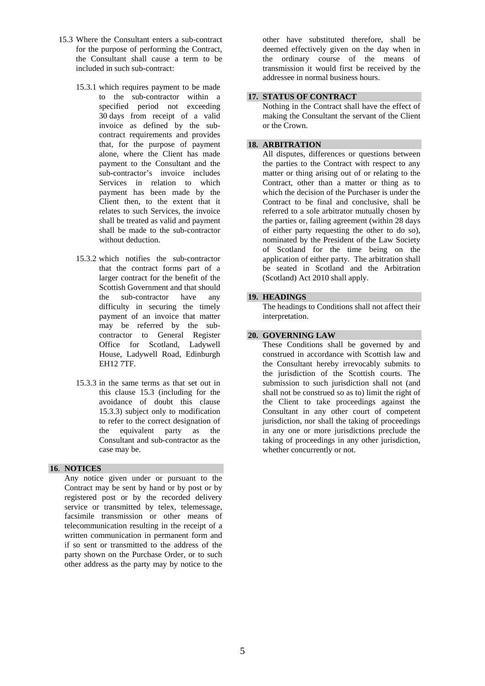- 15.3 Where the Consultant enters a sub-contract for the purpose of performing the Contract, the Consultant shall cause a term to be included in such sub-contract:
	- 15.3.1 which requires payment to be made to the sub-contractor within a specified period not exceeding 30 days from receipt of a valid invoice as defined by the subcontract requirements and provides that, for the purpose of payment alone, where the Client has made payment to the Consultant and the sub-contractor's invoice includes Services in relation to which payment has been made by the Client then, to the extent that it relates to such Services, the invoice shall be treated as valid and payment shall be made to the sub-contractor without deduction.
	- 15.3.2 which notifies the sub-contractor that the contract forms part of a larger contract for the benefit of the Scottish Government and that should the sub-contractor have any difficulty in securing the timely payment of an invoice that matter may be referred by the subcontractor to General Register Office for Scotland, Ladywell House, Ladywell Road, Edinburgh EH12 7TF.
	- 15.3.3 in the same terms as that set out in this clause 15.3 (including for the avoidance of doubt this clause 15.3.3) subject only to modification to refer to the correct designation of the equivalent party as the Consultant and sub-contractor as the case may be.

## **16**. **NOTICES**

 Any notice given under or pursuant to the Contract may be sent by hand or by post or by registered post or by the recorded delivery service or transmitted by telex, telemessage, facsimile transmission or other means of telecommunication resulting in the receipt of a written communication in permanent form and if so sent or transmitted to the address of the party shown on the Purchase Order, or to such other address as the party may by notice to the

other have substituted therefore, shall be deemed effectively given on the day when in the ordinary course of the means of transmission it would first be received by the addressee in normal business hours.

## **17. STATUS OF CONTRACT**

 Nothing in the Contract shall have the effect of making the Consultant the servant of the Client or the Crown.

#### **18. ARBITRATION**

 All disputes, differences or questions between the parties to the Contract with respect to any matter or thing arising out of or relating to the Contract, other than a matter or thing as to which the decision of the Purchaser is under the Contract to be final and conclusive, shall be referred to a sole arbitrator mutually chosen by the parties or, failing agreement (within 28 days of either party requesting the other to do so), nominated by the President of the Law Society of Scotland for the time being on the application of either party. The arbitration shall be seated in Scotland and the Arbitration (Scotland) Act 2010 shall apply.

## **19. HEADINGS**

 The headings to Conditions shall not affect their interpretation.

## **20. GOVERNING LAW**

 These Conditions shall be governed by and construed in accordance with Scottish law and the Consultant hereby irrevocably submits to the jurisdiction of the Scottish courts. The submission to such jurisdiction shall not (and shall not be construed so as to) limit the right of the Client to take proceedings against the Consultant in any other court of competent jurisdiction, nor shall the taking of proceedings in any one or more jurisdictions preclude the taking of proceedings in any other jurisdiction, whether concurrently or not.